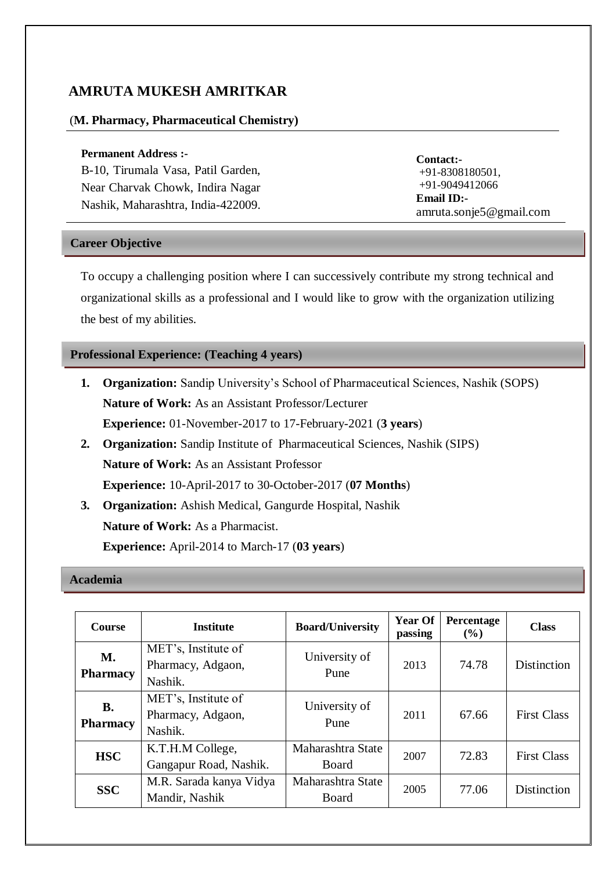# **AMRUTA MUKESH AMRITKAR**

## (**M. Pharmacy, Pharmaceutical Chemistry)**

#### **Permanent Address :-**

B-10, Tirumala Vasa, Patil Garden, Near Charvak Chowk, Indira Nagar Nashik, Maharashtra, India-422009.

**Contact:-** +91-8308180501, +91-9049412066 **Email ID:** [amruta.sonje5@gmail.com](mailto:amruta.sonje5@gmail.com)

## **Career Objective**

To occupy a challenging position where I can successively contribute my strong technical and organizational skills as a professional and I would like to grow with the organization utilizing the best of my abilities.

## **Professional Experience: (Teaching 4 years)**

- **1. Organization:** Sandip University's School of Pharmaceutical Sciences, Nashik (SOPS) **Nature of Work:** As an Assistant Professor/Lecturer **Experience:** 01-November-2017 to 17-February-2021 (**3 years**)
- **2. Organization:** Sandip Institute of Pharmaceutical Sciences, Nashik (SIPS) **Nature of Work:** As an Assistant Professor **Experience:** 10-April-2017 to 30-October-2017 (**07 Months**)
- **3. Organization:** Ashish Medical, Gangurde Hospital, Nashik **Nature of Work:** As a Pharmacist. **Experience:** April-2014 to March-17 (**03 years**)

#### **Academia**

| <b>Course</b>                | <b>Institute</b>                                    | <b>Board/University</b>    | <b>Year Of</b><br>passing | Percentage<br>$($ %) | <b>Class</b>       |
|------------------------------|-----------------------------------------------------|----------------------------|---------------------------|----------------------|--------------------|
| <b>M.</b><br><b>Pharmacy</b> | MET's, Institute of<br>Pharmacy, Adgaon,<br>Nashik. | University of<br>Pune      | 2013                      | 74.78                | Distinction        |
| <b>B.</b><br><b>Pharmacy</b> | MET's, Institute of<br>Pharmacy, Adgaon,<br>Nashik. | University of<br>Pune      | 2011                      | 67.66                | <b>First Class</b> |
| <b>HSC</b>                   | K.T.H.M College,<br>Gangapur Road, Nashik.          | Maharashtra State<br>Board | 2007                      | 72.83                | <b>First Class</b> |
| <b>SSC</b>                   | M.R. Sarada kanya Vidya<br>Mandir, Nashik           | Maharashtra State<br>Board | 2005                      | 77.06                | Distinction        |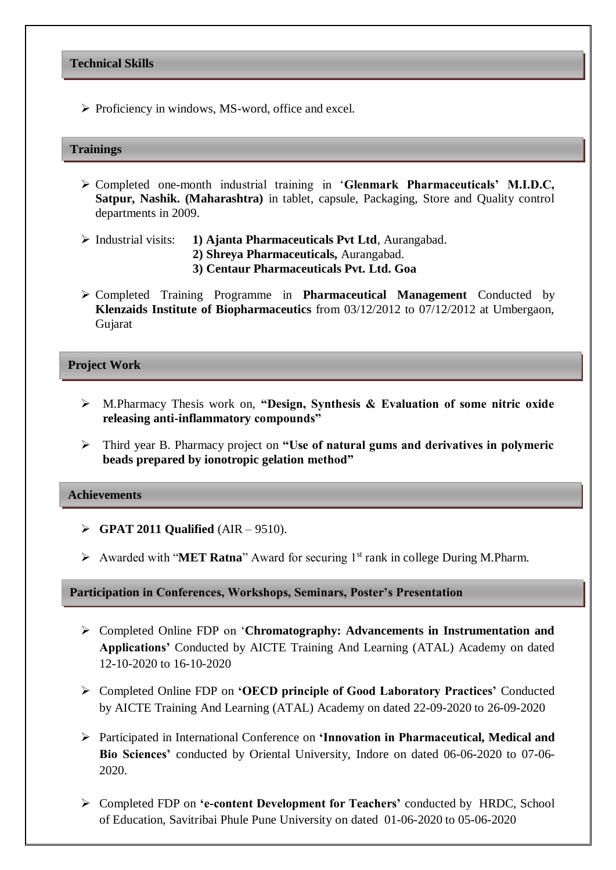## **Technical Skills**

 $\triangleright$  Proficiency in windows, MS-word, office and excel.

#### **Trainings**

- Completed one-month industrial training in '**Glenmark Pharmaceuticals' M.I.D.C, Satpur, Nashik. (Maharashtra)** in tablet, capsule, Packaging, Store and Quality control departments in 2009.
- Industrial visits: **1) Ajanta Pharmaceuticals Pvt Ltd**, Aurangabad.
	- **2) Shreya Pharmaceuticals,** Aurangabad.
	- **3) Centaur Pharmaceuticals Pvt. Ltd. Goa**
- Completed Training Programme in **Pharmaceutical Management** Conducted by **Klenzaids Institute of Biopharmaceutics** from 03/12/2012 to 07/12/2012 at Umbergaon, Gujarat

#### **Project Work**

- M.Pharmacy Thesis work on, **"Design, Synthesis & Evaluation of some nitric oxide releasing anti-inflammatory compounds"**
- Third year B. Pharmacy project on **"Use of natural gums and derivatives in polymeric beads prepared by ionotropic gelation method"**

## **Achievements**

- **GPAT 2011 Qualified** (AIR 9510).
- Awarded with "**MET Ratna**" Award for securing  $1<sup>st</sup>$  rank in college During M.Pharm.

**Participation in Conferences, Workshops, Seminars, Poster's Presentation**

- Completed Online FDP on '**Chromatography: Advancements in Instrumentation and Applications'** Conducted by AICTE Training And Learning (ATAL) Academy on dated 12-10-2020 to 16-10-2020
- Completed Online FDP on **'OECD principle of Good Laboratory Practices'** Conducted by AICTE Training And Learning (ATAL) Academy on dated 22-09-2020 to 26-09-2020
- Participated in International Conference on **'Innovation in Pharmaceutical, Medical and Bio Sciences'** conducted by Oriental University, Indore on dated 06-06-2020 to 07-06- 2020.
- Completed FDP on **'e-content Development for Teachers'** conducted by HRDC, School of Education, Savitribai Phule Pune University on dated 01-06-2020 to 05-06-2020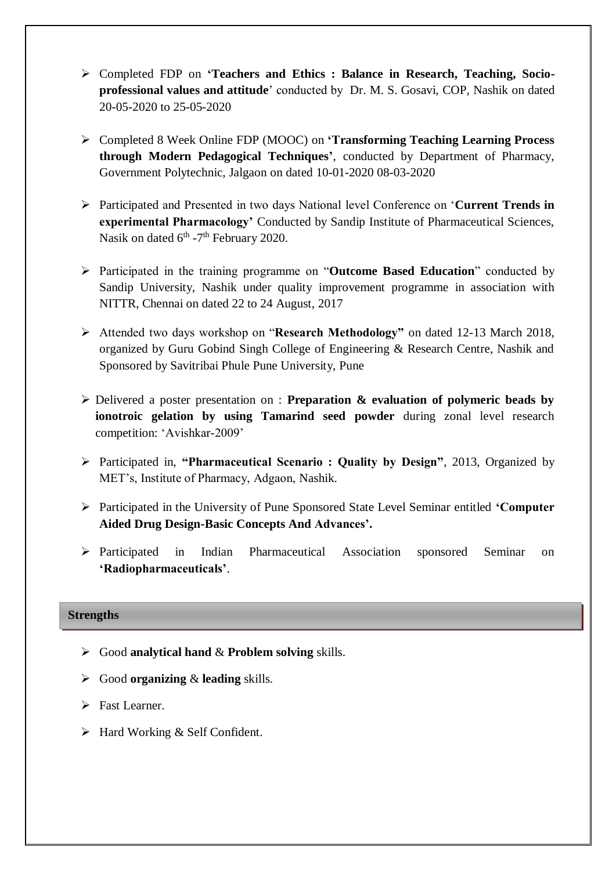- Completed FDP on **'Teachers and Ethics : Balance in Research, Teaching, Socioprofessional values and attitude**' conducted by Dr. M. S. Gosavi, COP, Nashik on dated 20-05-2020 to 25-05-2020
- Completed 8 Week Online FDP (MOOC) on **'Transforming Teaching Learning Process through Modern Pedagogical Techniques'**, conducted by Department of Pharmacy, Government Polytechnic, Jalgaon on dated 10-01-2020 08-03-2020
- Participated and Presented in two days National level Conference on '**Current Trends in experimental Pharmacology'** Conducted by Sandip Institute of Pharmaceutical Sciences, Nasik on dated 6<sup>th</sup> -7<sup>th</sup> February 2020.
- Participated in the training programme on "**Outcome Based Education**" conducted by Sandip University, Nashik under quality improvement programme in association with NITTR, Chennai on dated 22 to 24 August, 2017
- Attended two days workshop on "**Research Methodology"** on dated 12-13 March 2018, organized by Guru Gobind Singh College of Engineering & Research Centre, Nashik and Sponsored by Savitribai Phule Pune University, Pune
- Delivered a poster presentation on : **Preparation & evaluation of polymeric beads by ionotroic gelation by using Tamarind seed powder** during zonal level research competition: 'Avishkar-2009'
- Participated in, **"Pharmaceutical Scenario : Quality by Design"**, 2013, Organized by MET's, Institute of Pharmacy, Adgaon, Nashik.
- Participated in the University of Pune Sponsored State Level Seminar entitled **'Computer Aided Drug Design-Basic Concepts And Advances'.**
- $\triangleright$  Participated in Indian Pharmaceutical Association sponsored Seminar on **'Radiopharmaceuticals'**.

## **Strengths**

- Good **analytical hand** & **Problem solving** skills.
- Good **organizing** & **leading** skills.
- > Fast Learner.
- $\triangleright$  Hard Working & Self Confident.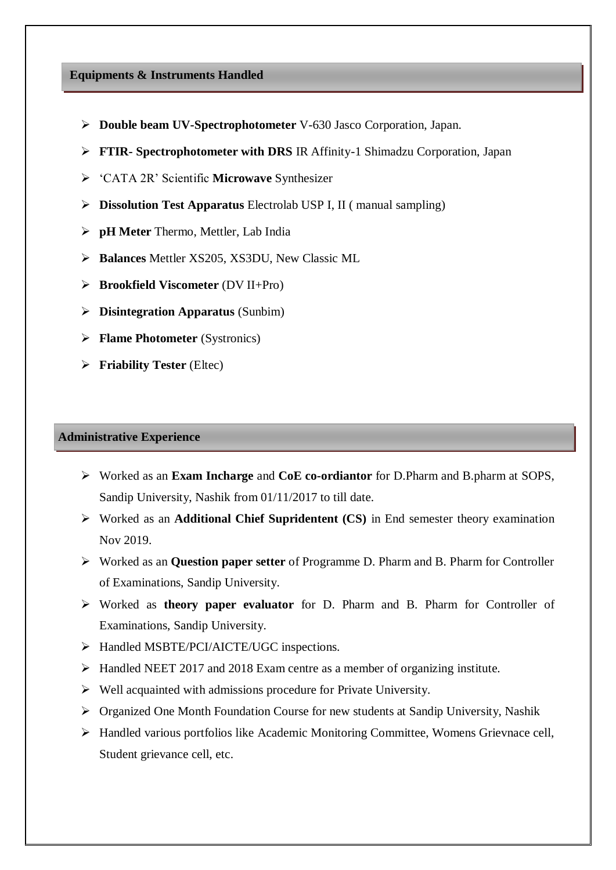## **Equipments & Instruments Handled**

- **Double beam UV-Spectrophotometer** V-630 Jasco Corporation, Japan.
- **FTIR- Spectrophotometer with DRS** IR Affinity-1 Shimadzu Corporation, Japan
- 'CATA 2R' Scientific **Microwave** Synthesizer
- **Dissolution Test Apparatus** Electrolab USP I, II ( manual sampling)
- **pH Meter** Thermo, Mettler, Lab India
- **Balances** Mettler XS205, XS3DU, New Classic ML
- **Brookfield Viscometer** (DV II+Pro)
- **Disintegration Apparatus** (Sunbim)
- **Flame Photometer** (Systronics)
- **Friability Tester** (Eltec)

## **Administrative Experience**

- Worked as an **Exam Incharge** and **CoE co-ordiantor** for D.Pharm and B.pharm at SOPS, Sandip University, Nashik from 01/11/2017 to till date.
- Worked as an **Additional Chief Supridentent (CS)** in End semester theory examination Nov 2019.
- Worked as an **Question paper setter** of Programme D. Pharm and B. Pharm for Controller of Examinations, Sandip University.
- Worked as **theory paper evaluator** for D. Pharm and B. Pharm for Controller of Examinations, Sandip University.
- > Handled MSBTE/PCI/AICTE/UGC inspections.
- Handled NEET 2017 and 2018 Exam centre as a member of organizing institute.
- $\triangleright$  Well acquainted with admissions procedure for Private University.
- Organized One Month Foundation Course for new students at Sandip University, Nashik
- Handled various portfolios like Academic Monitoring Committee, Womens Grievnace cell, Student grievance cell, etc.